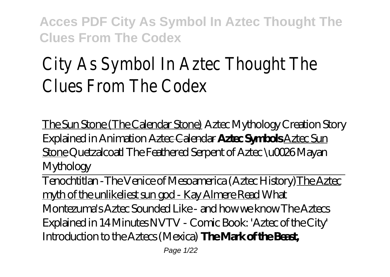# City As Symbol In Aztec Thought The Clues From The Codex

The Sun Stone (The Calendar Stone) *Aztec Mythology Creation Story Explained in Animation* Aztec Calendar **Aztec Symbols** Aztec Sun Stone *Quetzalcoatl The Feathered Serpent of Aztec \u0026 Mayan Mythology*

Tenochtitlan -The Venice of Mesoamerica (Aztec History)The Aztec myth of the unlikeliest sun god - Kay Almere Read *What Montezuma's Aztec Sounded Like - and how we know The Aztecs Explained in 14 Minutes NVTV - Comic Book: 'Aztec of the City' Introduction to the Aztecs (Mexica)* **The Mark of the Beast,**

Page 1/22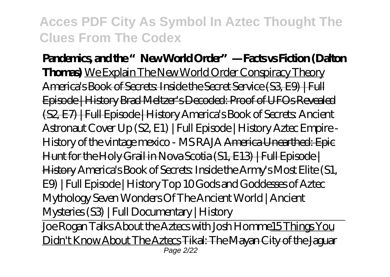**Pandemics, and the "New World Order"—Facts vs Fiction (Dalton Thomas)** We Explain The New World Order Conspiracy Theory America's Book of Secrets: Inside the Secret Service (S3, E9) | Full Episode | History Brad Meltzer's Decoded: Proof of UFOs Revealed (S2, E7) | Full Episode | History *America's Book of Secrets: Ancient Astronaut Cover Up (S2, E1) | Full Episode | History* Aztec Empire - History of the vintage mexico - MS RAJA America Unearthed: Epic Hunt for the Holy Grail in Nova Scotia (S1, E13) | Full Episode | History America's Book of Secrets: Inside the Army's Most Elite (S1, E9) | Full Episode | History *Top 10 Gods and Goddesses of Aztec Mythology Seven Wonders Of The Ancient World | Ancient Mysteries (S3) | Full Documentary | History*

Joe Rogan Talks About the Aztecs with Josh Homme15 Things You Didn't Know About The Aztecs Tikal: The Mayan City of the Jaguar Page 2/22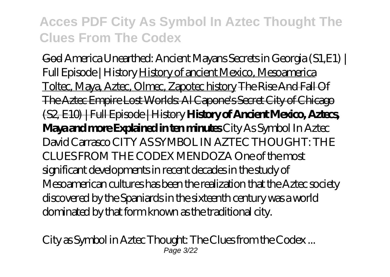God America Unearthed: Ancient Mayans Secrets in Georgia (S1,E1) | Full Episode | History History of ancient Mexico, Mesoamerica Toltec, Maya, Aztec, Olmec, Zapotec history The Rise And Fall Of The Aztec Empire Lost Worlds: Al Capone's Secret City of Chicago (S2, E10) | Full Episode | History **History of Ancient Mexico, Aztecs, Maya and more Explained in ten minutes** *City As Symbol In Aztec* David Carrasco CITY AS SYMBOL IN AZTEC THOUGHT: THE CLUES FROM THE CODEX MENDOZA One of the most significant developments in recent decades in the study of Mesoamerican cultures has been the realization that the Aztec society discovered by the Spaniards in the sixteenth century was a world dominated by that form known as the traditional city.

*City as Symbol in Aztec Thought: The Clues from the Codex ...* Page 3/22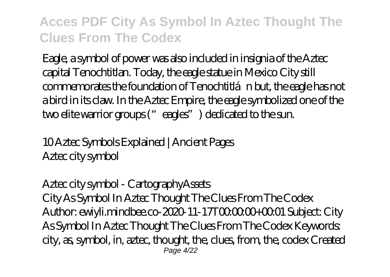Eagle, a symbol of power was also included in insignia of the Aztec capital Tenochtitlan. Today, the eagle statue in Mexico City still commemorates the foundation of Tenochtitlán but, the eagle has not a bird in its claw. In the Aztec Empire, the eagle symbolized one of the two elite warrior groups ("eagles") dedicated to the sun.

*10 Aztec Symbols Explained | Ancient Pages* Aztec city symbol

#### *Aztec city symbol - CartographyAssets*

City As Symbol In Aztec Thought The Clues From The Codex Author: ewiyli.mindbee.co-2020-11-17T00:00.00+00.01 Subject: City As Symbol In Aztec Thought The Clues From The Codex Keywords: city, as, symbol, in, aztec, thought, the, clues, from, the, codex Created  $P$ age  $4/22$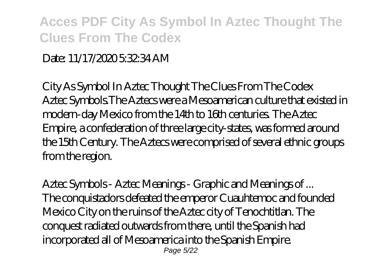#### Date: 11/17/2020 5:32:34 AM

*City As Symbol In Aztec Thought The Clues From The Codex* Aztec Symbols.The Aztecs were a Mesoamerican culture that existed in modern-day Mexico from the 14th to 16th centuries. The Aztec Empire, a confederation of three large city-states, was formed around the 15th Century. The Aztecs were comprised of several ethnic groups from the region.

*Aztec Symbols - Aztec Meanings - Graphic and Meanings of ...* The conquistadors defeated the emperor Cuauhtemoc and founded Mexico City on the ruins of the Aztec city of Tenochtitlan. The conquest radiated outwards from there, until the Spanish had incorporated all of Mesoamerica into the Spanish Empire. Page 5/22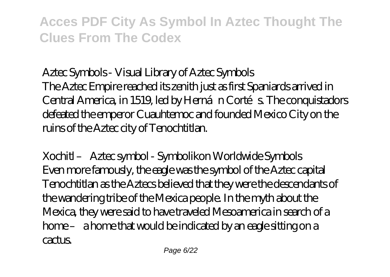#### *Aztec Symbols - Visual Library of Aztec Symbols*

The Aztec Empire reached its zenith just as first Spaniards arrived in Central America, in 1519, led by Hernán Corté s. The conquistadors defeated the emperor Cuauhtemoc and founded Mexico City on the ruins of the Aztec city of Tenochtitlan.

*Xochitl – Aztec symbol - Symbolikon Worldwide Symbols* Even more famously, the eagle was the symbol of the Aztec capital Tenochtitlan as the Aztecs believed that they were the descendants of the wandering tribe of the Mexica people. In the myth about the Mexica, they were said to have traveled Mesoamerica in search of a home – a home that would be indicated by an eagle sitting on a cactus.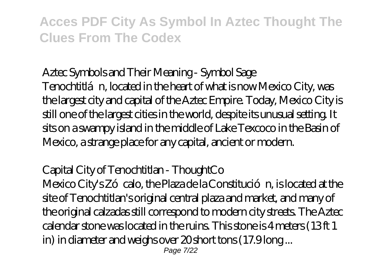#### *Aztec Symbols and Their Meaning - Symbol Sage*

Tenochtitlán, located in the heart of what is now Mexico City, was the largest city and capital of the Aztec Empire. Today, Mexico City is still one of the largest cities in the world, despite its unusual setting. It sits on a swampy island in the middle of Lake Texcoco in the Basin of Mexico, a strange place for any capital, ancient or modern.

#### *Capital City of Tenochtitlan - ThoughtCo*

Mexico City's Zócalo, the Plaza de la Constitución, is located at the site of Tenochtitlan's original central plaza and market, and many of the original calzadas still correspond to modern city streets. The Aztec calendar stone was located in the ruins. This stone is 4 meters (13 ft 1 in) in diameter and weighs over 20 short tons (17.9 long ...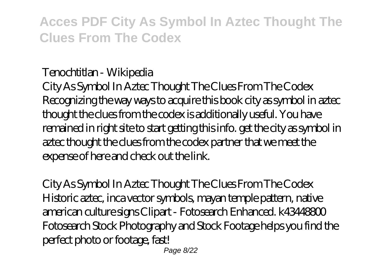#### *Tenochtitlan - Wikipedia*

City As Symbol In Aztec Thought The Clues From The Codex Recognizing the way ways to acquire this book city as symbol in aztec thought the clues from the codex is additionally useful. You have remained in right site to start getting this info. get the city as symbol in aztec thought the clues from the codex partner that we meet the expense of here and check out the link.

*City As Symbol In Aztec Thought The Clues From The Codex* Historic aztec, inca vector symbols, mayan temple pattern, native american culture signs Clipart - Fotosearch Enhanced. k43448800 Fotosearch Stock Photography and Stock Footage helps you find the perfect photo or footage, fast!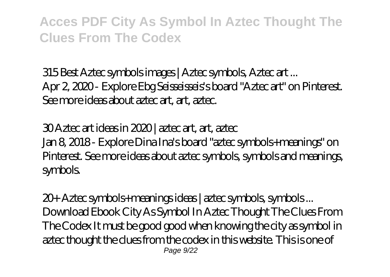*315 Best Aztec symbols images | Aztec symbols, Aztec art ...* Apr 2, 2020 - Explore Ebg Seisseisseis's board "Aztec art" on Pinterest. See more ideas about aztec art, art, aztec.

*30 Aztec art ideas in 2020 | aztec art, art, aztec* Jan 8, 2018 - Explore Dina Ina's board "aztec symbols+meanings" on Pinterest. See more ideas about aztec symbols, symbols and meanings, symbols.

*20+ Aztec symbols+meanings ideas | aztec symbols, symbols ...* Download Ebook City As Symbol In Aztec Thought The Clues From The Codex It must be good good when knowing the city as symbol in aztec thought the clues from the codex in this website. This is one of Page  $9/22$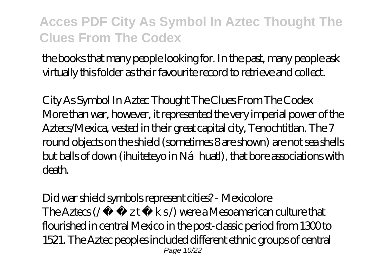the books that many people looking for. In the past, many people ask virtually this folder as their favourite record to retrieve and collect.

*City As Symbol In Aztec Thought The Clues From The Codex* More than war, however, it represented the very imperial power of the Aztecs/Mexica, vested in their great capital city, Tenochtitlan. The 7 round objects on the shield (sometimes 8 are shown) are not sea shells but balls of down (ihuiteteyo in Náhuatl), that bore associations with death.

*Did war shield symbols represent cities? - Mexicolore* The Aztecs ( $\angle$   $\alpha$  z t  $\kappa$  s  $\land$  were a Mesoamerican culture that flourished in central Mexico in the post-classic period from 1300 to 1521. The Aztec peoples included different ethnic groups of central Page 10/22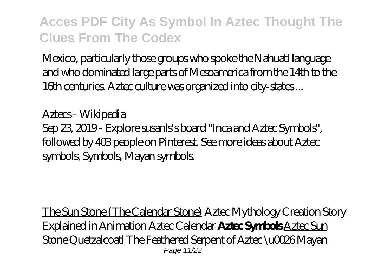Mexico, particularly those groups who spoke the Nahuatl language and who dominated large parts of Mesoamerica from the 14th to the 16th centuries. Aztec culture was organized into city-states ...

*Aztecs - Wikipedia* Sep 23, 2019 - Explore susanls's board "Inca and Aztec Symbols", followed by 403 people on Pinterest. See more ideas about Aztec symbols, Symbols, Mayan symbols.

The Sun Stone (The Calendar Stone) *Aztec Mythology Creation Story Explained in Animation* Aztec Calendar **Aztec Symbols** Aztec Sun Stone *Quetzalcoatl The Feathered Serpent of Aztec \u0026 Mayan* Page 11/22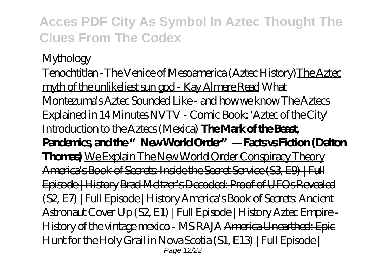*Mythology*

Tenochtitlan -The Venice of Mesoamerica (Aztec History)The Aztec myth of the unlikeliest sun god - Kay Almere Read *What Montezuma's Aztec Sounded Like - and how we know The Aztecs Explained in 14 Minutes NVTV - Comic Book: 'Aztec of the City' Introduction to the Aztecs (Mexica)* **The Mark of the Beast,** Pandemics, and the "New World Order" — Facts vs Fiction (Dalton **Thomas)** We Explain The New World Order Conspiracy Theory America's Book of Secrets: Inside the Secret Service (S3, E9) | Full Episode | History Brad Meltzer's Decoded: Proof of UFOs Revealed (S2, E7) | Full Episode | History *America's Book of Secrets: Ancient Astronaut Cover Up (S2, E1) | Full Episode | History* Aztec Empire - History of the vintage mexico - MS RAJA America Unearthed: Epic Hunt for the Holy Grail in Nova Scotia (S1, E13) | Full Episode | Page 12/22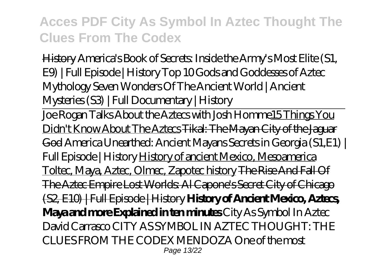History America's Book of Secrets. Inside the Army's Most Elite (S1, E9) | Full Episode | History *Top 10 Gods and Goddesses of Aztec Mythology Seven Wonders Of The Ancient World | Ancient Mysteries (S3) | Full Documentary | History*

Joe Rogan Talks About the Aztecs with Josh Homme15 Things You Didn't Know About The Aztecs Tikal: The Mayan City of the Jaguar God America Unearthed: Ancient Mayans Secrets in Georgia (S1,E1) | Full Episode | History History of ancient Mexico, Mesoamerica Toltec, Maya, Aztec, Olmec, Zapotec history The Rise And Fall Of The Aztec Empire Lost Worlds: Al Capone's Secret City of Chicago (S2, E10) | Full Episode | History **History of Ancient Mexico, Aztecs, Maya and more Explained in ten minutes** *City As Symbol In Aztec* David Carrasco CITY AS SYMBOL IN AZTEC THOUGHT: THE CLUES FROM THE CODEX MENDOZA One of the most Page 13/22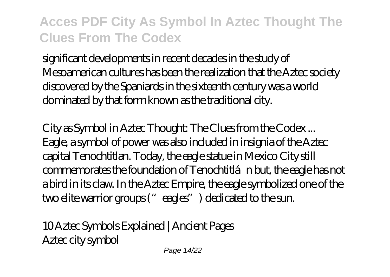significant developments in recent decades in the study of Mesoamerican cultures has been the realization that the Aztec society discovered by the Spaniards in the sixteenth century was a world dominated by that form known as the traditional city.

*City as Symbol in Aztec Thought: The Clues from the Codex ...* Eagle, a symbol of power was also included in insignia of the Aztec capital Tenochtitlan. Today, the eagle statue in Mexico City still commemorates the foundation of Tenochtitlán but, the eagle has not a bird in its claw. In the Aztec Empire, the eagle symbolized one of the two elite warrior groups ("eagles") dedicated to the sun.

*10 Aztec Symbols Explained | Ancient Pages* Aztec city symbol

Page 14/22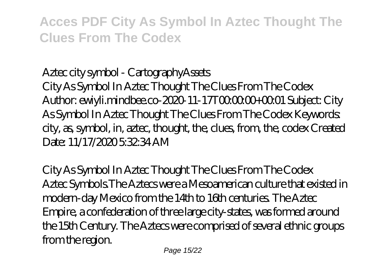#### *Aztec city symbol - CartographyAssets*

City As Symbol In Aztec Thought The Clues From The Codex Author: ewiyli.mindbee.co-2020-11-17T00.00.00+00.01 Subject: City As Symbol In Aztec Thought The Clues From The Codex Keywords: city, as, symbol, in, aztec, thought, the, clues, from, the, codex Created Date: 11/17/2020 5:32:34 AM

*City As Symbol In Aztec Thought The Clues From The Codex* Aztec Symbols.The Aztecs were a Mesoamerican culture that existed in modern-day Mexico from the 14th to 16th centuries. The Aztec Empire, a confederation of three large city-states, was formed around the 15th Century. The Aztecs were comprised of several ethnic groups from the region.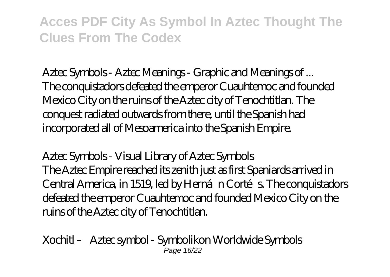*Aztec Symbols - Aztec Meanings - Graphic and Meanings of ...* The conquistadors defeated the emperor Cuauhtemoc and founded Mexico City on the ruins of the Aztec city of Tenochtitlan. The conquest radiated outwards from there, until the Spanish had incorporated all of Mesoamerica into the Spanish Empire.

*Aztec Symbols - Visual Library of Aztec Symbols* The Aztec Empire reached its zenith just as first Spaniards arrived in Central America, in 1519, led by Hernán Cortés. The conquistadors defeated the emperor Cuauhtemoc and founded Mexico City on the ruins of the Aztec city of Tenochtitlan.

*Xochitl – Aztec symbol - Symbolikon Worldwide Symbols* Page 16/22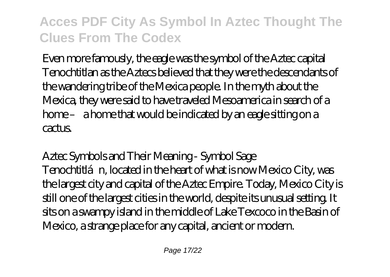Even more famously, the eagle was the symbol of the Aztec capital Tenochtitlan as the Aztecs believed that they were the descendants of the wandering tribe of the Mexica people. In the myth about the Mexica, they were said to have traveled Mesoamerica in search of a home – a home that would be indicated by an eagle sitting on a cactus.

#### *Aztec Symbols and Their Meaning - Symbol Sage* Tenochtitlán, located in the heart of what is now Mexico City, was the largest city and capital of the Aztec Empire. Today, Mexico City is still one of the largest cities in the world, despite its unusual setting. It sits on a swampy island in the middle of Lake Texcoco in the Basin of Mexico, a strange place for any capital, ancient or modern.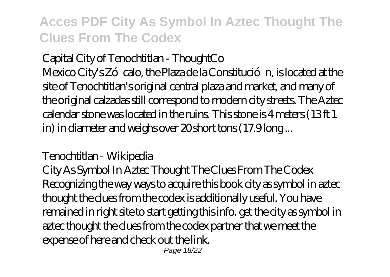#### *Capital City of Tenochtitlan - ThoughtCo*

Mexico City's Zó calo, the Plaza de la Constitución, is located at the site of Tenochtitlan's original central plaza and market, and many of the original calzadas still correspond to modern city streets. The Aztec calendar stone was located in the ruins. This stone is 4 meters (13 ft 1 in) in diameter and weighs over 20 short tons (17.9 long ...

#### *Tenochtitlan - Wikipedia*

City As Symbol In Aztec Thought The Clues From The Codex Recognizing the way ways to acquire this book city as symbol in aztec thought the clues from the codex is additionally useful. You have remained in right site to start getting this info. get the city as symbol in aztec thought the clues from the codex partner that we meet the expense of here and check out the link. Page 18/22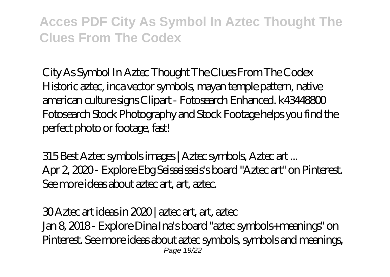*City As Symbol In Aztec Thought The Clues From The Codex* Historic aztec, inca vector symbols, mayan temple pattern, native american culture signs Clipart - Fotosearch Enhanced. k43448800 Fotosearch Stock Photography and Stock Footage helps you find the perfect photo or footage, fast!

*315 Best Aztec symbols images | Aztec symbols, Aztec art ...* Apr 2, 2020 - Explore Ebg Seisseisseis's board "Aztec art" on Pinterest. See more ideas about aztec art, art, aztec.

*30 Aztec art ideas in 2020 | aztec art, art, aztec*

Jan 8, 2018 - Explore Dina Ina's board "aztec symbols+meanings" on Pinterest. See more ideas about aztec symbols, symbols and meanings, Page 19/22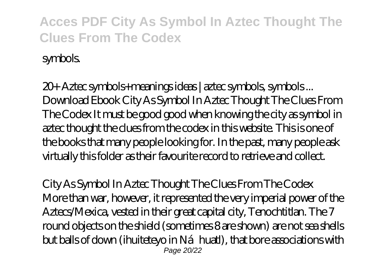symbols.

*20+ Aztec symbols+meanings ideas | aztec symbols, symbols ...* Download Ebook City As Symbol In Aztec Thought The Clues From The Codex It must be good good when knowing the city as symbol in aztec thought the clues from the codex in this website. This is one of the books that many people looking for. In the past, many people ask virtually this folder as their favourite record to retrieve and collect.

*City As Symbol In Aztec Thought The Clues From The Codex* More than war, however, it represented the very imperial power of the Aztecs/Mexica, vested in their great capital city, Tenochtitlan. The 7 round objects on the shield (sometimes 8 are shown) are not sea shells but balls of down (ihuiteteyo in Náhuatl), that bore associations with Page 20/22